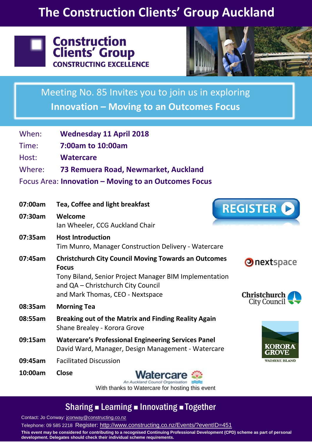## **The Construction Clients' Group Auckland**





Meeting No. 85 Invites you to join us in exploring **Innovation – Moving to an Outcomes Focus**

| When:                                                | <b>Wednesday 11 April 2018</b>                                                                                                                                              |                                   |
|------------------------------------------------------|-----------------------------------------------------------------------------------------------------------------------------------------------------------------------------|-----------------------------------|
| Time:                                                | 7:00am to 10:00am                                                                                                                                                           |                                   |
| Host:                                                | <b>Watercare</b>                                                                                                                                                            |                                   |
| Where:                                               | 73 Remuera Road, Newmarket, Auckland                                                                                                                                        |                                   |
| Focus Area: Innovation - Moving to an Outcomes Focus |                                                                                                                                                                             |                                   |
| 07:00am                                              | Tea, Coffee and light breakfast                                                                                                                                             | <b>REGISTER C</b>                 |
| 07:30am                                              | Welcome<br>Ian Wheeler, CCG Auckland Chair                                                                                                                                  |                                   |
| 07:35am                                              | <b>Host Introduction</b><br>Tim Munro, Manager Construction Delivery - Watercare                                                                                            |                                   |
| 07:45am                                              | <b>Christchurch City Council Moving Towards an Outcomes</b><br><b>Focus</b><br>Tony Biland, Senior Project Manager BIM Implementation<br>and QA - Christchurch City Council | Onextspace                        |
|                                                      | and Mark Thomas, CEO - Nextspace                                                                                                                                            | Christchurch                      |
| 08:35am                                              | <b>Morning Tea</b>                                                                                                                                                          | City Council $\overline{\bullet}$ |
| 08:55am                                              | <b>Breaking out of the Matrix and Finding Reality Again</b><br>Shane Brealey - Korora Grove                                                                                 |                                   |
| 09:15am                                              | <b>Watercare's Professional Engineering Services Panel</b><br>David Ward, Manager, Design Management - Watercare                                                            | <b>KORORA</b><br>GROVE            |
| 09:45am                                              | <b>Facilitated Discussion</b>                                                                                                                                               | WAIHEKE ISLAND                    |
| 10:00am                                              | <b>Close</b><br><b>Watercare</b>                                                                                                                                            |                                   |

An Auckland Council Organisation With thanks to Watercare for hosting this event

### Sharing **Example 2 Innovating Example 1**

Contact: Jo Conway: [jconway@constructing.co.nz](mailto:jconway@constructing.co.nz)

Telephone: 09 585 2218 Register:<http://www.constructing.co.nz/Events/?eventID=451> **This event may be considered for contributing to a recognised Continuing Professional Development (CPD) scheme as part of personal development. Delegates should check their individual scheme requirements.**